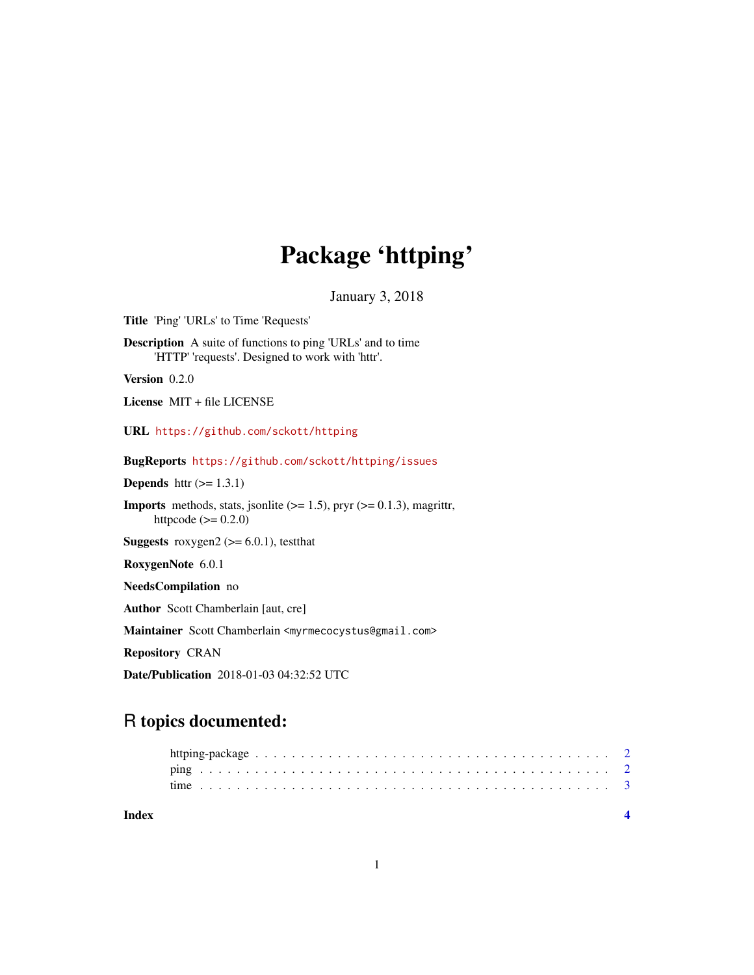## Package 'httping'

January 3, 2018

<span id="page-0-0"></span>Title 'Ping' 'URLs' to Time 'Requests' Description A suite of functions to ping 'URLs' and to time 'HTTP' 'requests'. Designed to work with 'httr'.

Version 0.2.0

License MIT + file LICENSE

URL <https://github.com/sckott/httping>

BugReports <https://github.com/sckott/httping/issues>

**Depends** http:  $(>= 1.3.1)$ 

**Imports** methods, stats, jsonlite  $(>= 1.5)$ , pryr  $(>= 0.1.3)$ , magrittr, httpcode  $(>= 0.2.0)$ 

**Suggests** roxygen2 ( $>= 6.0.1$ ), test that

RoxygenNote 6.0.1

NeedsCompilation no

Author Scott Chamberlain [aut, cre]

Maintainer Scott Chamberlain <myrmecocystus@gmail.com>

Repository CRAN

Date/Publication 2018-01-03 04:32:52 UTC

### R topics documented:

| Index |  |
|-------|--|
|       |  |
|       |  |
|       |  |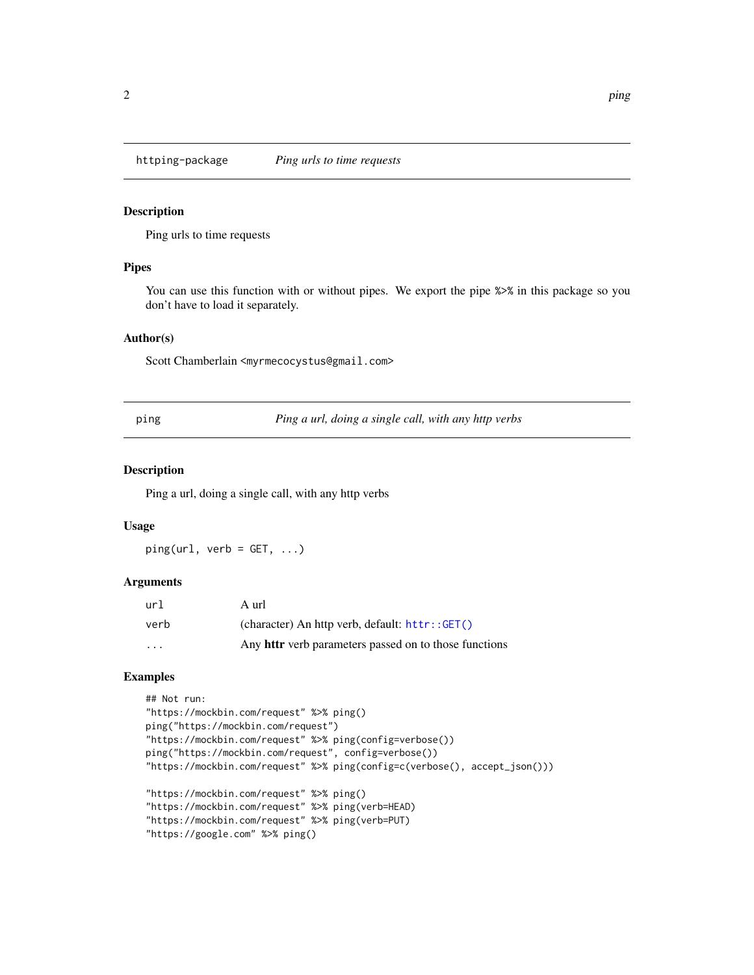<span id="page-1-0"></span>

#### Description

Ping urls to time requests

#### Pipes

You can use this function with or without pipes. We export the pipe  $\gg\$  in this package so you don't have to load it separately.

#### Author(s)

Scott Chamberlain <myrmecocystus@gmail.com>

ping *Ping a url, doing a single call, with any http verbs*

#### Description

Ping a url, doing a single call, with any http verbs

#### Usage

 $ping(url, verb = GET, ...)$ 

#### Arguments

| url                     | A url                                                        |
|-------------------------|--------------------------------------------------------------|
| verb                    | (character) An http verb, default: httr::GET()               |
| $\cdot$ $\cdot$ $\cdot$ | Any <b>httr</b> verb parameters passed on to those functions |

#### Examples

```
## Not run:
"https://mockbin.com/request" %>% ping()
ping("https://mockbin.com/request")
"https://mockbin.com/request" %>% ping(config=verbose())
ping("https://mockbin.com/request", config=verbose())
"https://mockbin.com/request" %>% ping(config=c(verbose(), accept_json()))
"https://mockbin.com/request" %>% ping()
"https://mockbin.com/request" %>% ping(verb=HEAD)
```

```
"https://mockbin.com/request" %>% ping(verb=PUT)
"https://google.com" %>% ping()
```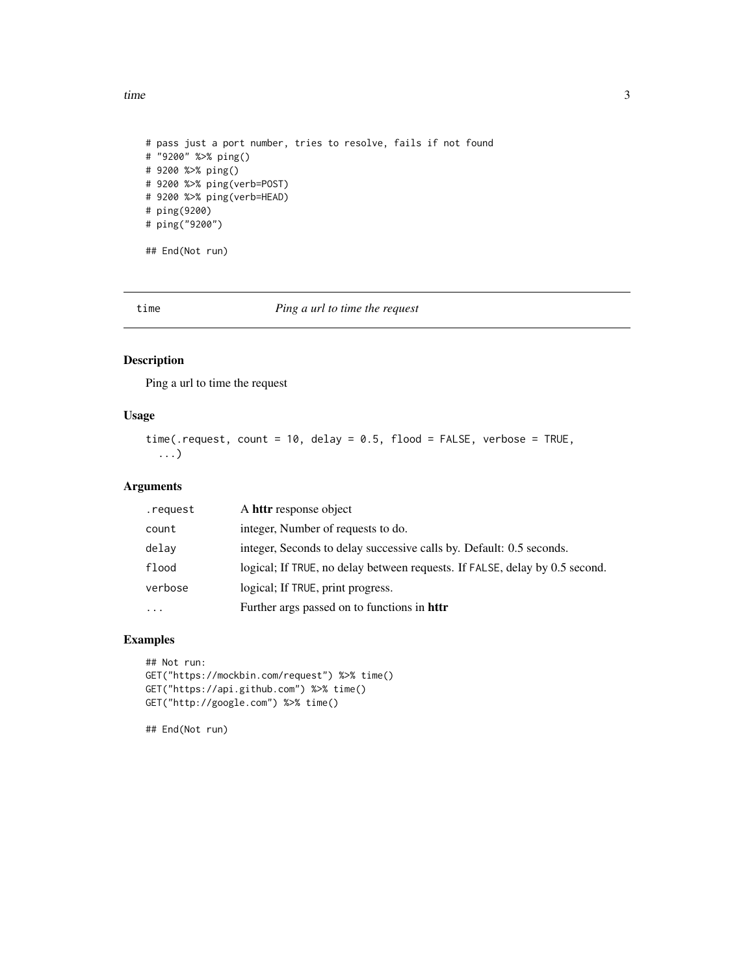<span id="page-2-0"></span>time 3

```
# pass just a port number, tries to resolve, fails if not found
# "9200" %>% ping()
# 9200 %>% ping()
# 9200 %>% ping(verb=POST)
# 9200 %>% ping(verb=HEAD)
# ping(9200)
# ping("9200")
## End(Not run)
```
time *Ping a url to time the request*

#### Description

Ping a url to time the request

#### Usage

```
time(.request, count = 10, delay = 0.5, flood = FALSE, verbose = TRUE,
  ...)
```
#### Arguments

| .request | A httr response object                                                      |
|----------|-----------------------------------------------------------------------------|
| count    | integer, Number of requests to do.                                          |
| delay    | integer, Seconds to delay successive calls by. Default: 0.5 seconds.        |
| flood    | logical; If TRUE, no delay between requests. If FALSE, delay by 0.5 second. |
| verbose  | logical; If TRUE, print progress.                                           |
| .        | Further args passed on to functions in httr                                 |

#### Examples

```
## Not run:
GET("https://mockbin.com/request") %>% time()
GET("https://api.github.com") %>% time()
GET("http://google.com") %>% time()
```
## End(Not run)